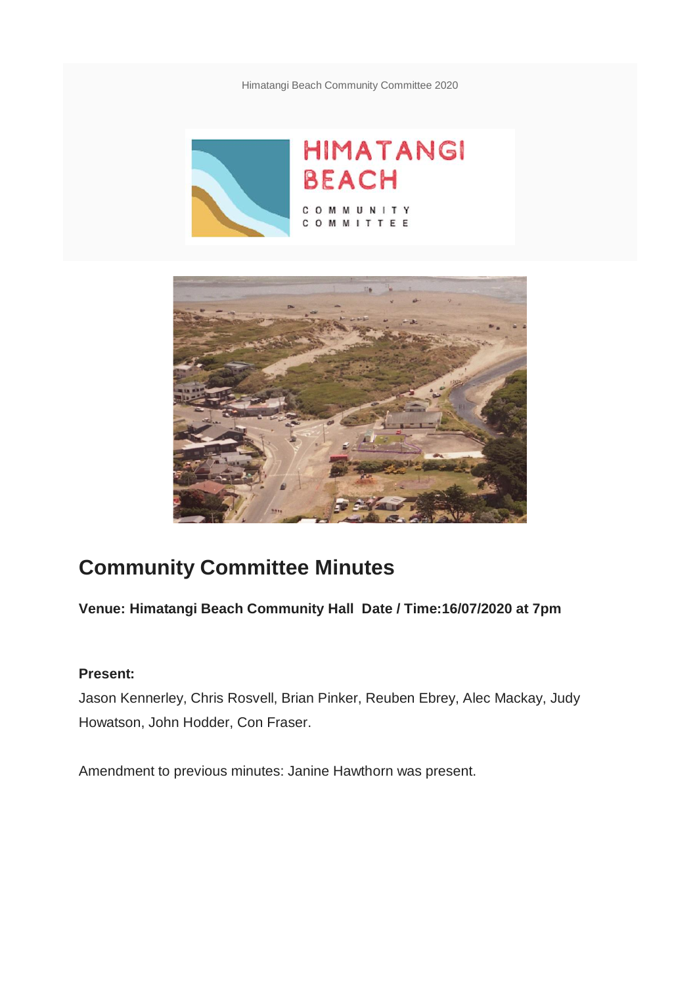Himatangi Beach Community Committee 2020





# **Community Committee Minutes**

**Venue: Himatangi Beach Community Hall Date / Time:16/07/2020 at 7pm**

#### **Present:**

Jason Kennerley, Chris Rosvell, Brian Pinker, Reuben Ebrey, Alec Mackay, Judy Howatson, John Hodder, Con Fraser.

Amendment to previous minutes: Janine Hawthorn was present.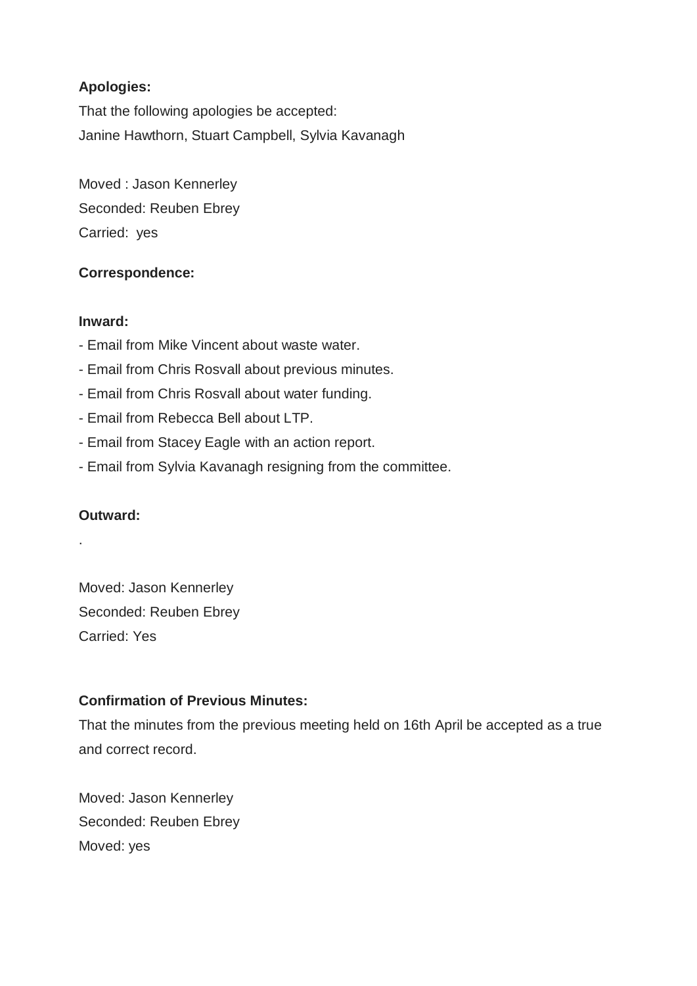## **Apologies:**

That the following apologies be accepted: Janine Hawthorn, Stuart Campbell, Sylvia Kavanagh

Moved : Jason Kennerley Seconded: Reuben Ebrey Carried: yes

## **Correspondence:**

#### **Inward:**

- Email from Mike Vincent about waste water.
- Email from Chris Rosvall about previous minutes.
- Email from Chris Rosvall about water funding.
- Email from Rebecca Bell about LTP.
- Email from Stacey Eagle with an action report.
- Email from Sylvia Kavanagh resigning from the committee.

#### **Outward:**

.

Moved: Jason Kennerley Seconded: Reuben Ebrey Carried: Yes

## **Confirmation of Previous Minutes:**

That the minutes from the previous meeting held on 16th April be accepted as a true and correct record.

Moved: Jason Kennerley Seconded: Reuben Ebrey Moved: yes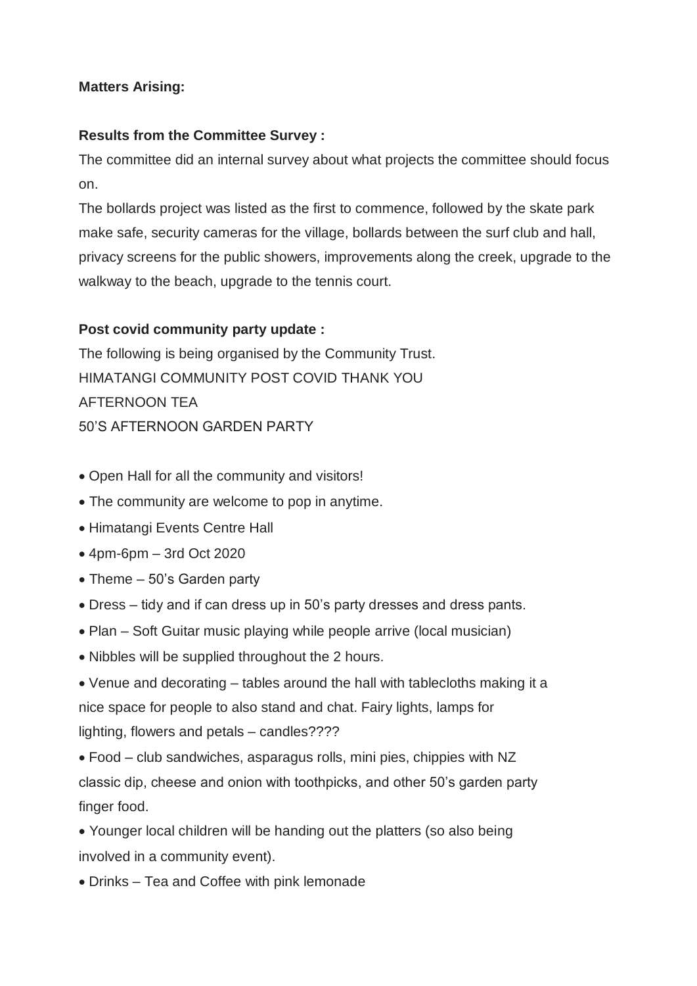## **Matters Arising:**

## **Results from the Committee Survey :**

The committee did an internal survey about what projects the committee should focus on.

The bollards project was listed as the first to commence, followed by the skate park make safe, security cameras for the village, bollards between the surf club and hall, privacy screens for the public showers, improvements along the creek, upgrade to the walkway to the beach, upgrade to the tennis court.

## **Post covid community party update :**

The following is being organised by the Community Trust. HIMATANGI COMMUNITY POST COVID THANK YOU AFTERNOON TEA 50'S AFTERNOON GARDEN PARTY

- Open Hall for all the community and visitors!
- The community are welcome to pop in anytime.
- Himatangi Events Centre Hall
- 4pm-6pm 3rd Oct 2020
- Theme 50's Garden party
- Dress tidy and if can dress up in 50's party dresses and dress pants.
- Plan Soft Guitar music playing while people arrive (local musician)
- Nibbles will be supplied throughout the 2 hours.
- Venue and decorating tables around the hall with tablecloths making it a nice space for people to also stand and chat. Fairy lights, lamps for lighting, flowers and petals – candles????
- Food club sandwiches, asparagus rolls, mini pies, chippies with NZ classic dip, cheese and onion with toothpicks, and other 50's garden party finger food.
- Younger local children will be handing out the platters (so also being involved in a community event).
- Drinks Tea and Coffee with pink lemonade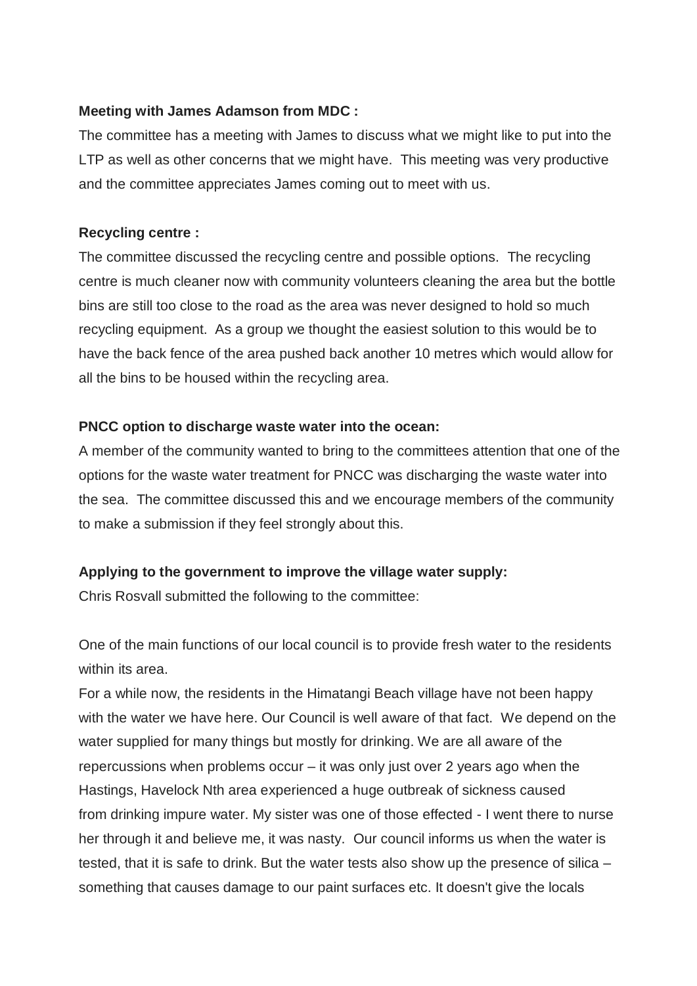#### **Meeting with James Adamson from MDC :**

The committee has a meeting with James to discuss what we might like to put into the LTP as well as other concerns that we might have. This meeting was very productive and the committee appreciates James coming out to meet with us.

#### **Recycling centre :**

The committee discussed the recycling centre and possible options. The recycling centre is much cleaner now with community volunteers cleaning the area but the bottle bins are still too close to the road as the area was never designed to hold so much recycling equipment. As a group we thought the easiest solution to this would be to have the back fence of the area pushed back another 10 metres which would allow for all the bins to be housed within the recycling area.

#### **PNCC option to discharge waste water into the ocean:**

A member of the community wanted to bring to the committees attention that one of the options for the waste water treatment for PNCC was discharging the waste water into the sea. The committee discussed this and we encourage members of the community to make a submission if they feel strongly about this.

## **Applying to the government to improve the village water supply:**

Chris Rosvall submitted the following to the committee:

One of the main functions of our local council is to provide fresh water to the residents within its area.

For a while now, the residents in the Himatangi Beach village have not been happy with the water we have here. Our Council is well aware of that fact. We depend on the water supplied for many things but mostly for drinking. We are all aware of the repercussions when problems occur – it was only just over 2 years ago when the Hastings, Havelock Nth area experienced a huge outbreak of sickness caused from drinking impure water. My sister was one of those effected - I went there to nurse her through it and believe me, it was nasty. Our council informs us when the water is tested, that it is safe to drink. But the water tests also show up the presence of silica – something that causes damage to our paint surfaces etc. It doesn't give the locals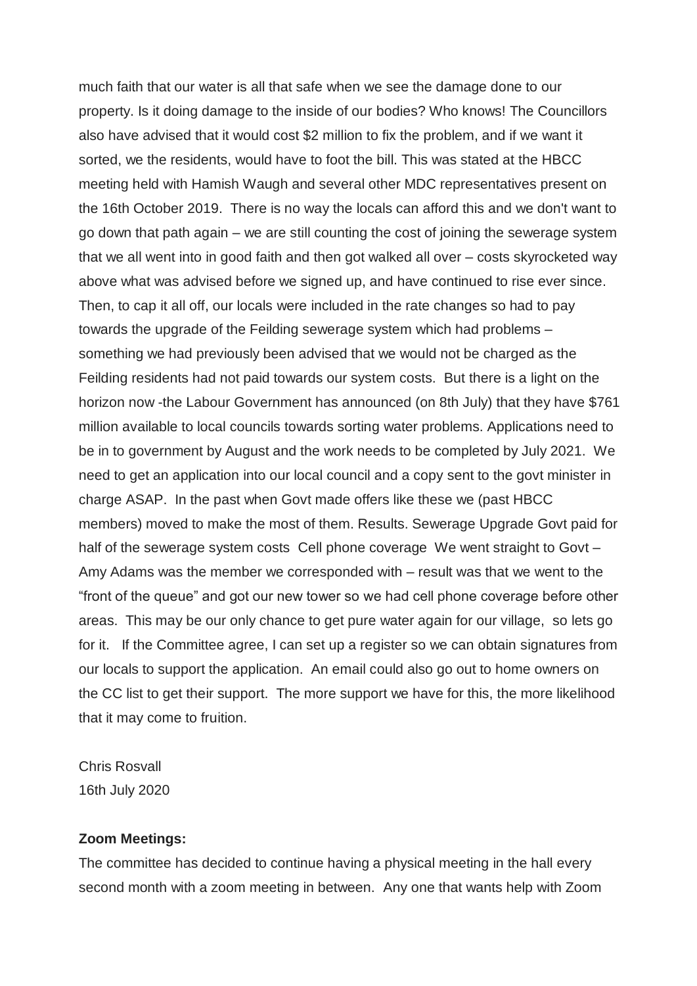much faith that our water is all that safe when we see the damage done to our property. Is it doing damage to the inside of our bodies? Who knows! The Councillors also have advised that it would cost \$2 million to fix the problem, and if we want it sorted, we the residents, would have to foot the bill. This was stated at the HBCC meeting held with Hamish Waugh and several other MDC representatives present on the 16th October 2019. There is no way the locals can afford this and we don't want to go down that path again – we are still counting the cost of joining the sewerage system that we all went into in good faith and then got walked all over – costs skyrocketed way above what was advised before we signed up, and have continued to rise ever since. Then, to cap it all off, our locals were included in the rate changes so had to pay towards the upgrade of the Feilding sewerage system which had problems – something we had previously been advised that we would not be charged as the Feilding residents had not paid towards our system costs. But there is a light on the horizon now -the Labour Government has announced (on 8th July) that they have \$761 million available to local councils towards sorting water problems. Applications need to be in to government by August and the work needs to be completed by July 2021. We need to get an application into our local council and a copy sent to the govt minister in charge ASAP. In the past when Govt made offers like these we (past HBCC members) moved to make the most of them. Results. Sewerage Upgrade Govt paid for half of the sewerage system costs Cell phone coverage We went straight to Govt -Amy Adams was the member we corresponded with – result was that we went to the "front of the queue" and got our new tower so we had cell phone coverage before other areas. This may be our only chance to get pure water again for our village, so lets go for it. If the Committee agree, I can set up a register so we can obtain signatures from our locals to support the application. An email could also go out to home owners on the CC list to get their support. The more support we have for this, the more likelihood that it may come to fruition.

Chris Rosvall 16th July 2020

#### **Zoom Meetings:**

The committee has decided to continue having a physical meeting in the hall every second month with a zoom meeting in between. Any one that wants help with Zoom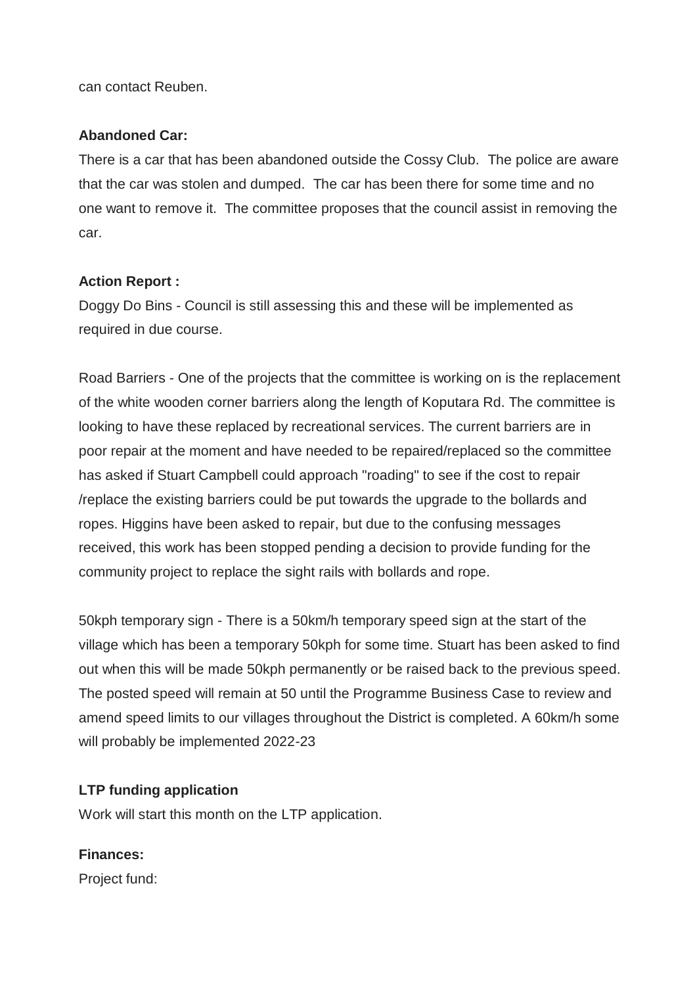can contact Reuben.

#### **Abandoned Car:**

There is a car that has been abandoned outside the Cossy Club. The police are aware that the car was stolen and dumped. The car has been there for some time and no one want to remove it. The committee proposes that the council assist in removing the car.

## **Action Report :**

Doggy Do Bins - Council is still assessing this and these will be implemented as required in due course.

Road Barriers - One of the projects that the committee is working on is the replacement of the white wooden corner barriers along the length of Koputara Rd. The committee is looking to have these replaced by recreational services. The current barriers are in poor repair at the moment and have needed to be repaired/replaced so the committee has asked if Stuart Campbell could approach "roading" to see if the cost to repair /replace the existing barriers could be put towards the upgrade to the bollards and ropes. Higgins have been asked to repair, but due to the confusing messages received, this work has been stopped pending a decision to provide funding for the community project to replace the sight rails with bollards and rope.

50kph temporary sign - There is a 50km/h temporary speed sign at the start of the village which has been a temporary 50kph for some time. Stuart has been asked to find out when this will be made 50kph permanently or be raised back to the previous speed. The posted speed will remain at 50 until the Programme Business Case to review and amend speed limits to our villages throughout the District is completed. A 60km/h some will probably be implemented 2022-23

## **LTP funding application**

Work will start this month on the LTP application.

## **Finances:**

Project fund: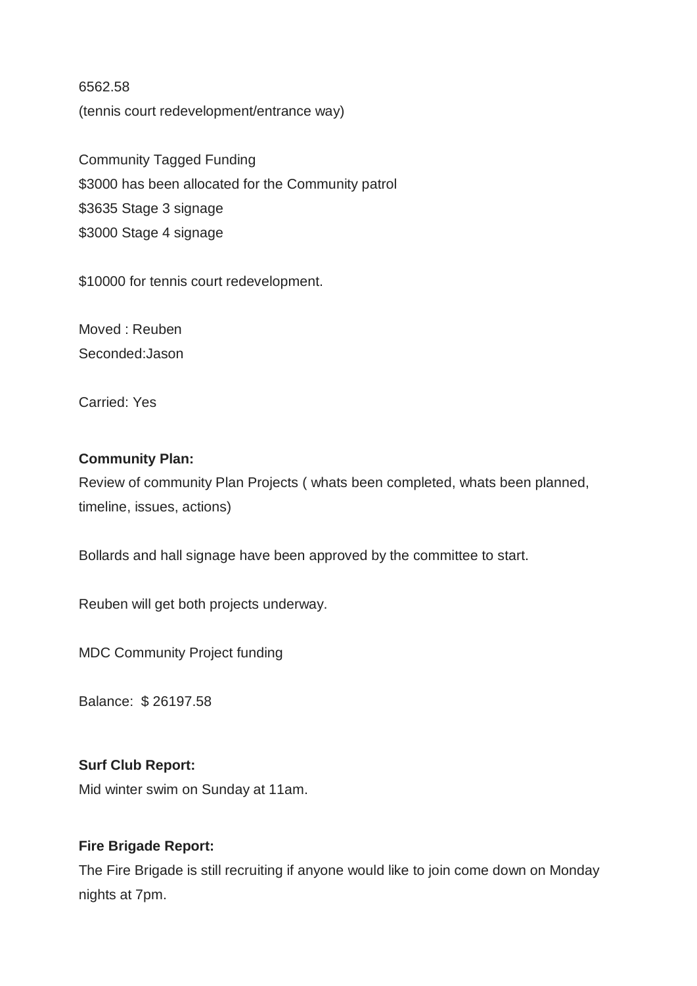6562.58 (tennis court redevelopment/entrance way)

Community Tagged Funding \$3000 has been allocated for the Community patrol \$3635 Stage 3 signage \$3000 Stage 4 signage

\$10000 for tennis court redevelopment.

Moved : Reuben Seconded:Jason

Carried: Yes

#### **Community Plan:**

Review of community Plan Projects ( whats been completed, whats been planned, timeline, issues, actions)

Bollards and hall signage have been approved by the committee to start.

Reuben will get both projects underway.

MDC Community Project funding

Balance: \$ 26197.58

#### **Surf Club Report:**

Mid winter swim on Sunday at 11am.

## **Fire Brigade Report:**

The Fire Brigade is still recruiting if anyone would like to join come down on Monday nights at 7pm.